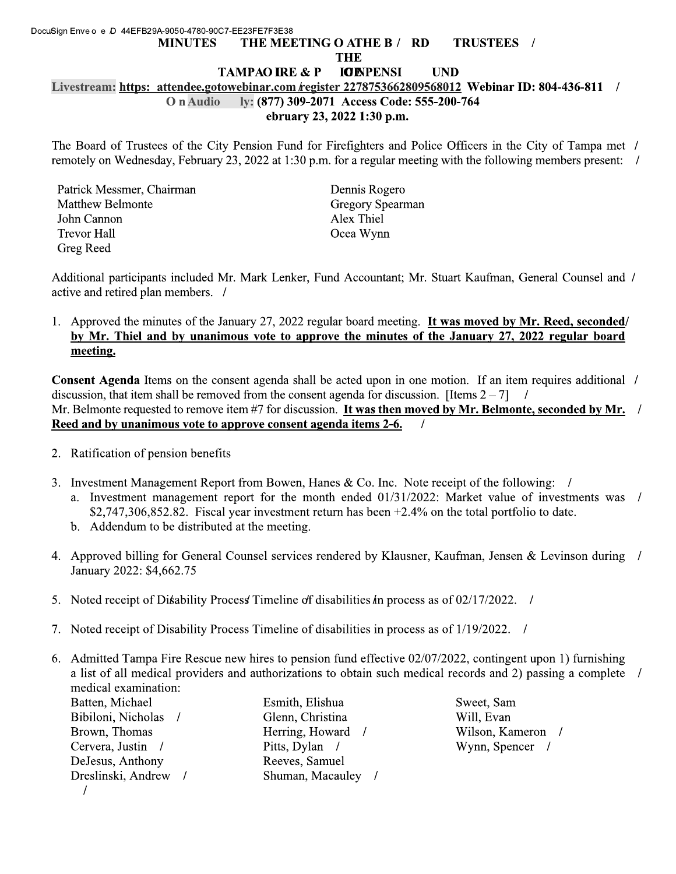## DocuSign Enve o e D 44EFB29A-9050-4780-90C7-EE23FE7F3E38 THE MEETING O ATHE B / RD TRUSTEES / **MINUTES THE IOENPENSI TAMPAO IRE & P UND** Livestream: https: attendee.gotowebinar.com *kegister 2278753662809568012* Webinar ID: 804-436-811 / ly: (877) 309-2071 Access Code: 555-200-764 O n Audio ebruary 23, 2022 1:30 p.m.

The Board of Trustees of the City Pension Fund for Firefighters and Police Officers in the City of Tampa met / remotely on Wednesday, February 23, 2022 at 1:30 p.m. for a regular meeting with the following members present: /

| Patrick Messmer, Chairman |
|---------------------------|
| <b>Matthew Belmonte</b>   |
| John Cannon               |
| <b>Trevor Hall</b>        |
| Greg Reed                 |

Dennis Rogero **Gregory Spearman** Alex Thiel Ocea Wynn

Additional participants included Mr. Mark Lenker, Fund Accountant; Mr. Stuart Kaufman, General Counsel and / active and retired plan members. /

1. Approved the minutes of the January 27, 2022 regular board meeting. It was moved by Mr. Reed, seconded/ by Mr. Thiel and by unanimous vote to approve the minutes of the January 27, 2022 regular board meeting.

**Consent Agenda** Items on the consent agenda shall be acted upon in one motion. If an item requires additional / discussion, that item shall be removed from the consent agenda for discussion. [Items  $2 - 7$ ]  $\prime$ Mr. Belmonte requested to remove item  $#7$  for discussion. It was then moved by Mr. Belmonte, seconded by Mr. / Reed and by unanimous vote to approve consent agenda items 2-6.  $\prime$ 

- 2. Ratification of pension benefits
- 3. Investment Management Report from Bowen, Hanes & Co. Inc. Note receipt of the following: /
	- a. Investment management report for the month ended 01/31/2022: Market value of investments was / \$2,747,306,852.82. Fiscal year investment return has been  $+2.4\%$  on the total portfolio to date.
	- b. Addendum to be distributed at the meeting.
- 4. Approved billing for General Counsel services rendered by Klausner, Kaufman, Jensen & Levinson during / January 2022: \$4,662.75
- 5. Noted receipt of Disability Process Timeline of disabilities in process as of 02/17/2022.
- 7. Noted receipt of Disability Process Timeline of disabilities in process as of 1/19/2022. /
- 6. Admitted Tampa Fire Rescue new hires to pension fund effective 02/07/2022, contingent upon 1) furnishing a list of all medical providers and authorizations to obtain such medical records and 2) passing a complete / medical examination:

Batten, Michael Bibiloni, Nicholas / Brown, Thomas Cervera, Justin / DeJesus, Anthony Dreslinski, Andrew /  $\sqrt{ }$ 

Esmith, Elishua Glenn, Christina Herring, Howard / Pitts, Dylan / Reeves, Samuel Shuman, Macauley /

Sweet, Sam Will, Evan Wilson, Kameron / Wynn, Spencer /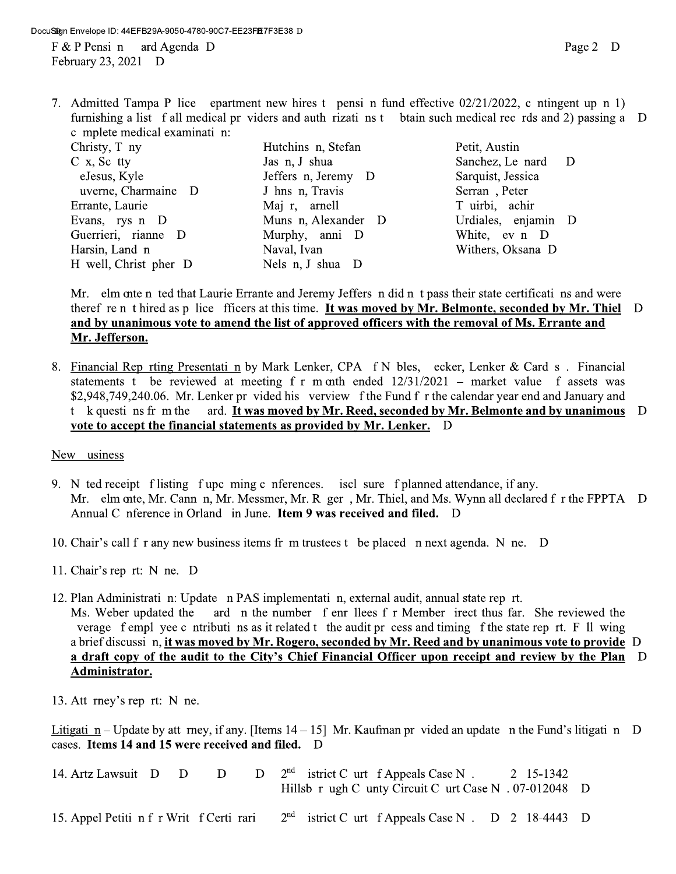7. Admitted Tampa P lice epartment new hires t pensi n fund effective 02/21/2022, c ntingent up n 1) furnishing a list f all medical pr viders and auth rizati ns t btain such medical rec rds and 2) passing a D c mplete medical examinati n: Christy, T ny Hutchins n, Stefan Petit, Austin  $C$  x, Sc tty Jas n, J shua Sanchez, Le nard D

eJesus, Kyle uverne, Charmaine D Errante, Laurie Evans, rys n D Guerrieri, rianne D Harsin, Land n H well, Christ pher D

Jeffers n, Jeremy D J hns n, Travis Maj r, arnell Muns n, Alexander D Murphy, anni D Naval, Ivan Nels n, J shua D

Sarquist, Jessica Serran, Peter T uirbi, achir Urdiales, enjamin D White, ev n D Withers, Oksana D

Mr. elm onte n ted that Laurie Errante and Jeremy Jeffers n did n t pass their state certificati ns and were theref ren t hired as p lice fficers at this time. It was moved by Mr. Belmonte, seconded by Mr. Thiel D and by unanimous vote to amend the list of approved officers with the removal of Ms. Errante and Mr. Jefferson.

8. Financial Rep rting Presentati n by Mark Lenker, CPA f N bles, ecker, Lenker & Card s. Financial statements t be reviewed at meeting f r m onth ended  $12/31/2021$  – market value f assets was \$2,948,749,240.06. Mr. Lenker pr vided his verview f the Fund f r the calendar year end and January and t k questi ns fr m the ard. It was moved by Mr. Reed, seconded by Mr. Belmonte and by unanimous D vote to accept the financial statements as provided by Mr. Lenker. D

## New usiness

- 9. N ted receipt flisting fupc ming c nferences. iscl sure fplanned attendance, if any. Mr. elm onte, Mr. Cann n, Mr. Messmer, Mr. R ger, Mr. Thiel, and Ms. Wynn all declared f r the FPPTA D Annual C nference in Orland in June. Item 9 was received and filed. D
- 10. Chair's call f r any new business items fr m trustees t be placed n next agenda. N ne. D
- 11. Chair's rep rt: N ne. D
- 12. Plan Administrati n: Update n PAS implementati n, external audit, annual state rep rt. Ms. Weber updated the ard n the number f enr llees f r Member irect thus far. She reviewed the verage f empl yee c ntributi ns as it related t the audit pr cess and timing f the state rep rt. F ll wing a brief discussi n, it was moved by Mr. Rogero, seconded by Mr. Reed and by unanimous vote to provide D a draft copy of the audit to the City's Chief Financial Officer upon receipt and review by the Plan D Administrator.
- 13. Att rney's rep rt: N ne.

Litigati n – Update by att rney, if any. [Items  $14 - 15$ ] Mr. Kaufman pr vided an update n the Fund's litigati n D cases. Items 14 and 15 were received and filed. D

| 14. Artz Lawsuit D D                     | D | $D$ $2nd$ istrict C urt f Appeals Case N.<br>Hillsb r ugh C unty Circuit C urt Case N . 07-012048 D | 2 15-1342 |  |
|------------------------------------------|---|-----------------------------------------------------------------------------------------------------|-----------|--|
| 15. Appel Petiti n f r Writ f Certi rari |   | $2nd$ istrict C urt f Appeals Case N . D 2 18-4443 D                                                |           |  |